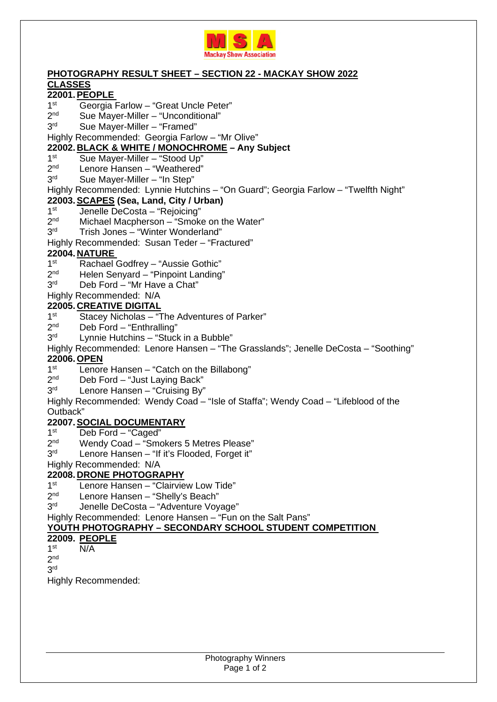

#### **PHOTOGRAPHY RESULT SHEET – SECTION 22 - MACKAY SHOW 2022 CLASSES**

# **22001. PEOPLE**

- $1<sup>st</sup>$ Georgia Farlow – "Great Uncle Peter"
- $2<sub>nd</sub>$ Sue Mayer-Miller – "Unconditional"
- 3rd Sue Mayer-Miller – "Framed"

Highly Recommended: Georgia Farlow – "Mr Olive"

### **22002. BLACK & WHITE / MONOCHROME – Any Subject**

- $1<sup>st</sup>$ Sue Mayer-Miller – "Stood Up"
- $2<sub>nd</sub>$ Lenore Hansen – "Weathered"
- 3<sup>rd</sup> Sue Mayer-Miller – "In Step"
- Highly Recommended: Lynnie Hutchins "On Guard"; Georgia Farlow "Twelfth Night"

### **22003. SCAPES (Sea, Land, City / Urban)**

- $1<sup>st</sup>$ Jenelle DeCosta – "Rejoicing"
- $2<sub>nd</sub>$ Michael Macpherson – "Smoke on the Water"
- 3rd Trish Jones – "Winter Wonderland"

### Highly Recommended: Susan Teder – "Fractured"

## **22004. NATURE**

- $1<sup>st</sup>$ Rachael Godfrey – "Aussie Gothic"
- $2<sup>nd</sup>$ Helen Senyard – "Pinpoint Landing"
- 3rd Deb Ford – "Mr Have a Chat"
- Highly Recommended: N/A

### **22005. CREATIVE DIGITAL**

- $1<sup>st</sup>$ Stacey Nicholas – "The Adventures of Parker"
- $2<sup>nd</sup>$ Deb Ford – "Enthralling"
- 3<sup>rd</sup> Lynnie Hutchins – "Stuck in a Bubble"
- Highly Recommended: Lenore Hansen "The Grasslands"; Jenelle DeCosta "Soothing"

## **22006. OPEN**

- $1<sup>st</sup>$ Lenore Hansen – "Catch on the Billabong"
- $2<sup>nd</sup>$ Deb Ford – "Just Laying Back"
- 3rd Lenore Hansen – "Cruising By"
- Highly Recommended: Wendy Coad "Isle of Staffa"; Wendy Coad "Lifeblood of the Outback"

#### **22007. SOCIAL DOCUMENTARY**

- $1<sup>st</sup>$ Deb Ford – "Caged"
- $2<sub>nd</sub>$ Wendy Coad – "Smokers 5 Metres Please"
- $3<sup>rd</sup>$ Lenore Hansen – "If it's Flooded, Forget it"
- Highly Recommended: N/A

## **22008. DRONE PHOTOGRAPHY**

- $1<sup>st</sup>$ Lenore Hansen – "Clairview Low Tide"
- $2<sub>nd</sub>$ Lenore Hansen – "Shelly's Beach"
- $3<sup>rd</sup>$ Jenelle DeCosta – "Adventure Voyage"

Highly Recommended: Lenore Hansen – "Fun on the Salt Pans"

#### **YOUTH PHOTOGRAPHY – SECONDARY SCHOOL STUDENT COMPETITION**

#### **22009. PEOPLE**

 $1<sup>st</sup>$  $N/A$ 

 $2<sup>nd</sup>$ 

## 3 rd

Highly Recommended: